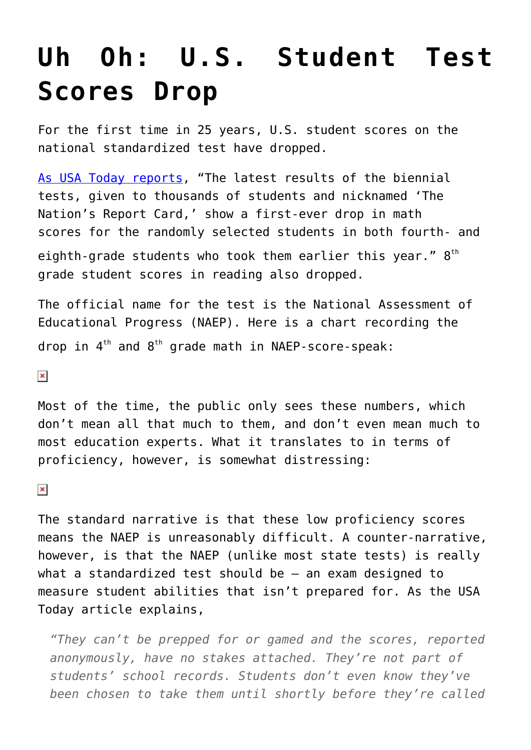## **[Uh Oh: U.S. Student Test](https://intellectualtakeout.org/2015/10/uh-oh-u-s-student-test-scores-drop/) [Scores Drop](https://intellectualtakeout.org/2015/10/uh-oh-u-s-student-test-scores-drop/)**

For the first time in 25 years, U.S. student scores on the national standardized test have dropped.

[As USA Today reports](http://www.usatoday.com/story/news/2015/10/28/naep-math-scores-down/74696238/), "The latest results of the biennial tests, given to thousands of students and nicknamed 'The Nation's Report Card,' show a first-ever drop in math scores for the randomly selected students in both fourth- and eighth-grade students who took them earlier this year."  $8^\text{\tiny th}$ grade student scores in reading also dropped.

The official name for the test is the National Assessment of Educational Progress (NAEP). Here is a chart recording the drop in  $4^{th}$  and  $8^{th}$  grade math in NAEP-score-speak:

 $\pmb{\times}$ 

Most of the time, the public only sees these numbers, which don't mean all that much to them, and don't even mean much to most education experts. What it translates to in terms of proficiency, however, is somewhat distressing:

 $\pmb{\times}$ 

The standard narrative is that these low proficiency scores means the NAEP is unreasonably difficult. A counter-narrative, however, is that the NAEP (unlike most state tests) is really what a standardized test should be – an exam designed to measure student abilities that isn't prepared for. As the USA Today article explains,

*"They can't be prepped for or gamed and the scores, reported anonymously, have no stakes attached. They're not part of students' school records. Students don't even know they've been chosen to take them until shortly before they're called*